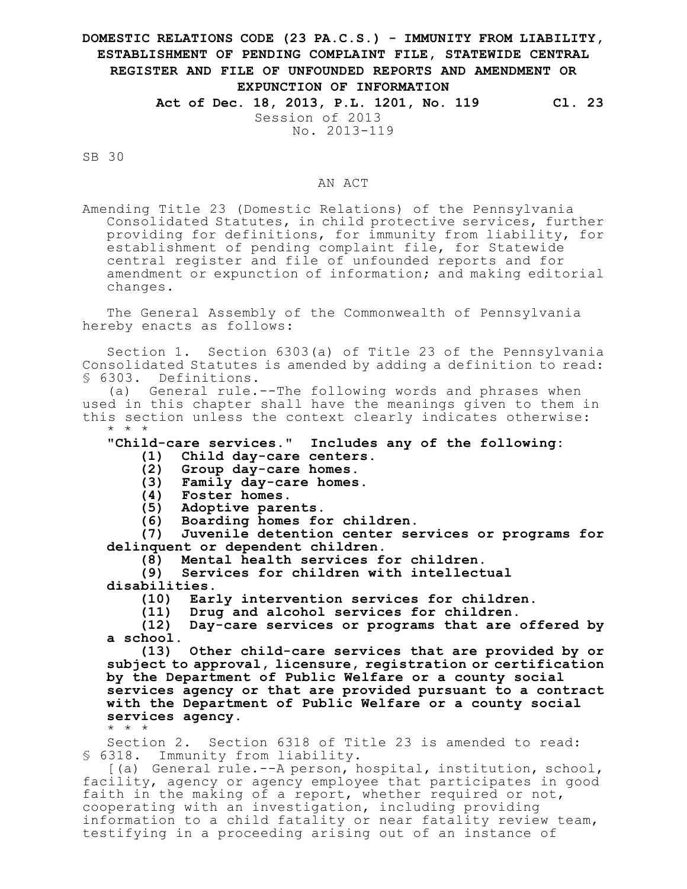## **DOMESTIC RELATIONS CODE (23 PA.C.S.) - IMMUNITY FROM LIABILITY, ESTABLISHMENT OF PENDING COMPLAINT FILE, STATEWIDE CENTRAL REGISTER AND FILE OF UNFOUNDED REPORTS AND AMENDMENT OR EXPUNCTION OF INFORMATION**

**Act of Dec. 18, 2013, P.L. 1201, No. 119 Cl. 23** Session of 2013 No. 2013-119

SB 30

## AN ACT

Amending Title 23 (Domestic Relations) of the Pennsylvania Consolidated Statutes, in child protective services, further providing for definitions, for immunity from liability, for establishment of pending complaint file, for Statewide central register and file of unfounded reports and for amendment or expunction of information; and making editorial changes.

The General Assembly of the Commonwealth of Pennsylvania hereby enacts as follows:

Section 1. Section 6303(a) of Title 23 of the Pennsylvania Consolidated Statutes is amended by adding a definition to read: § 6303. Definitions.

(a) General rule.--The following words and phrases when used in this chapter shall have the meanings given to them in this section unless the context clearly indicates otherwise: \* \* \*

**"Child-care services." Includes any of the following:**

- **(1) Child day-care centers.**
- **(2) Group day-care homes.**
- **(3) Family day-care homes.**
- **(4) Foster homes.**
- **(5) Adoptive parents.**
- **(6) Boarding homes for children.**

**(7) Juvenile detention center services or programs for delinquent or dependent children.**

**(8) Mental health services for children.**

**(9) Services for children with intellectual disabilities.**

- **(10) Early intervention services for children.**
- **(11) Drug and alcohol services for children.**

**(12) Day-care services or programs that are offered by a school.**

**(13) Other child-care services that are provided by or subject to approval, licensure, registration or certification by the Department of Public Welfare or a county social services agency or that are provided pursuant to a contract with the Department of Public Welfare or a county social services agency.**

\* \* \*

Section 2. Section 6318 of Title 23 is amended to read: § 6318. Immunity from liability.

[(a) General rule.--A person, hospital, institution, school, facility, agency or agency employee that participates in good faith in the making of a report, whether required or not, cooperating with an investigation, including providing information to a child fatality or near fatality review team, testifying in a proceeding arising out of an instance of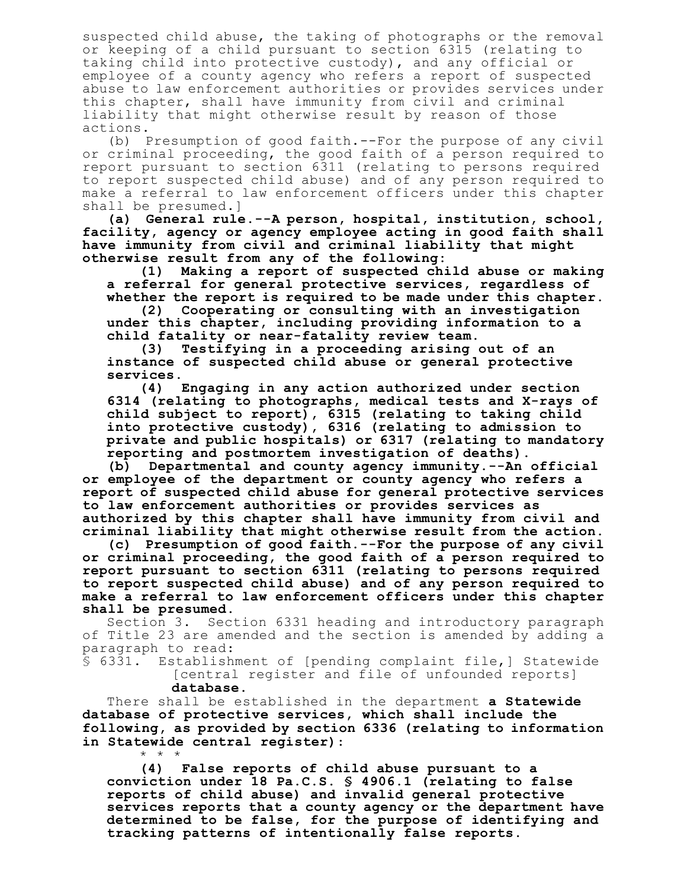suspected child abuse, the taking of photographs or the removal or keeping of a child pursuant to section 6315 (relating to taking child into protective custody), and any official or employee of a county agency who refers a report of suspected abuse to law enforcement authorities or provides services under this chapter, shall have immunity from civil and criminal liability that might otherwise result by reason of those actions.

(b) Presumption of good faith.--For the purpose of any civil or criminal proceeding, the good faith of a person required to report pursuant to section 6311 (relating to persons required to report suspected child abuse) and of any person required to make a referral to law enforcement officers under this chapter shall be presumed.]

**(a) General rule.--A person, hospital, institution, school, facility, agency or agency employee acting in good faith shall have immunity from civil and criminal liability that might otherwise result from any of the following:**

**(1) Making a report of suspected child abuse or making a referral for general protective services, regardless of whether the report is required to be made under this chapter.**

**(2) Cooperating or consulting with an investigation under this chapter, including providing information to a child fatality or near-fatality review team.**

**(3) Testifying in a proceeding arising out of an instance of suspected child abuse or general protective services.**

**(4) Engaging in any action authorized under section 6314 (relating to photographs, medical tests and X-rays of child subject to report), 6315 (relating to taking child into protective custody), 6316 (relating to admission to private and public hospitals) or 6317 (relating to mandatory reporting and postmortem investigation of deaths).**

**(b) Departmental and county agency immunity.--An official or employee of the department or county agency who refers a report of suspected child abuse for general protective services to law enforcement authorities or provides services as authorized by this chapter shall have immunity from civil and criminal liability that might otherwise result from the action.**

**(c) Presumption of good faith.--For the purpose of any civil or criminal proceeding, the good faith of a person required to report pursuant to section 6311 (relating to persons required to report suspected child abuse) and of any person required to make a referral to law enforcement officers under this chapter shall be presumed.**

Section 3. Section 6331 heading and introductory paragraph of Title 23 are amended and the section is amended by adding a paragraph to read:

§ 6331. Establishment of [pending complaint file,] Statewide [central register and file of unfounded reports] **database**.

There shall be established in the department **a Statewide database of protective services, which shall include the following, as provided by section 6336 (relating to information in Statewide central register)**: \* \* \*

**(4) False reports of child abuse pursuant to a conviction under 18 Pa.C.S. § 4906.1 (relating to false reports of child abuse) and invalid general protective services reports that a county agency or the department have determined to be false, for the purpose of identifying and tracking patterns of intentionally false reports.**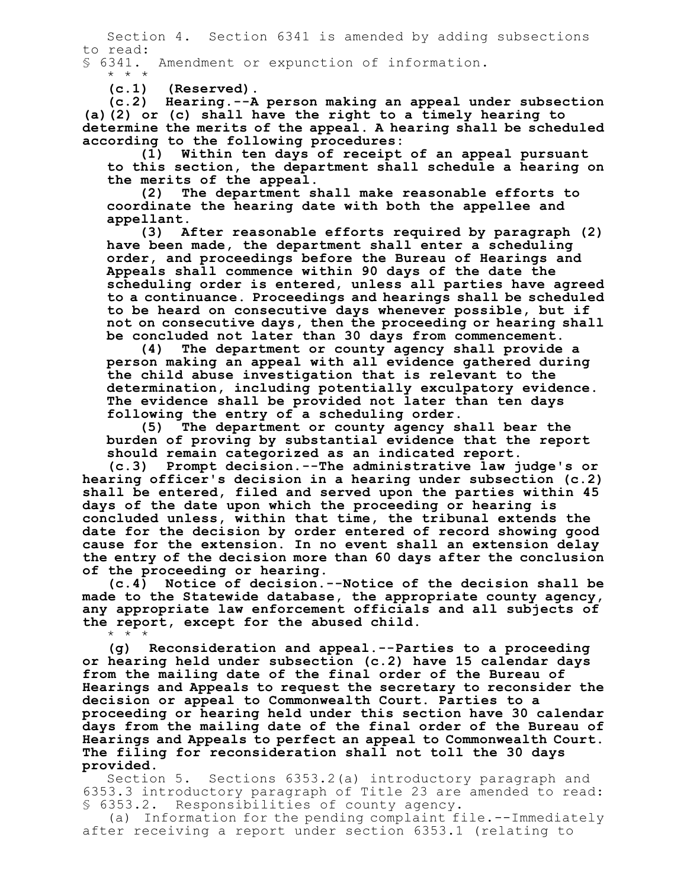Section 4. Section 6341 is amended by adding subsections to read: § 6341. Amendment or expunction of information.

**(c.1) (Reserved).**

\* \* \*

**(c.2) Hearing.--A person making an appeal under subsection (a)(2) or (c) shall have the right to a timely hearing to determine the merits of the appeal. A hearing shall be scheduled according to the following procedures:**

**(1) Within ten days of receipt of an appeal pursuant to this section, the department shall schedule a hearing on**

**the merits of the appeal. (2) The department shall make reasonable efforts to coordinate the hearing date with both the appellee and appellant.**

**(3) After reasonable efforts required by paragraph (2) have been made, the department shall enter a scheduling order, and proceedings before the Bureau of Hearings and Appeals shall commence within 90 days of the date the scheduling order is entered, unless all parties have agreed to a continuance. Proceedings and hearings shall be scheduled to be heard on consecutive days whenever possible, but if not on consecutive days, then the proceeding or hearing shall be concluded not later than 30 days from commencement.**

**(4) The department or county agency shall provide a person making an appeal with all evidence gathered during the child abuse investigation that is relevant to the determination, including potentially exculpatory evidence. The evidence shall be provided not later than ten days following the entry of a scheduling order.**

**(5) The department or county agency shall bear the burden of proving by substantial evidence that the report should remain categorized as an indicated report.**

**(c.3) Prompt decision.--The administrative law judge's or hearing officer's decision in a hearing under subsection (c.2) shall be entered, filed and served upon the parties within 45 days of the date upon which the proceeding or hearing is concluded unless, within that time, the tribunal extends the date for the decision by order entered of record showing good cause for the extension. In no event shall an extension delay the entry of the decision more than 60 days after the conclusion of the proceeding or hearing.**

**(c.4) Notice of decision.--Notice of the decision shall be made to the Statewide database, the appropriate county agency, any appropriate law enforcement officials and all subjects of the report, except for the abused child.** \* \* \*

**(g) Reconsideration and appeal.--Parties to a proceeding or hearing held under subsection (c.2) have 15 calendar days from the mailing date of the final order of the Bureau of Hearings and Appeals to request the secretary to reconsider the decision or appeal to Commonwealth Court. Parties to a proceeding or hearing held under this section have 30 calendar days from the mailing date of the final order of the Bureau of Hearings and Appeals to perfect an appeal to Commonwealth Court. The filing for reconsideration shall not toll the 30 days provided.**

Section 5. Sections 6353.2(a) introductory paragraph and 6353.3 introductory paragraph of Title 23 are amended to read: § 6353.2. Responsibilities of county agency.

(a) Information for the pending complaint file.--Immediately after receiving a report under section 6353.1 (relating to